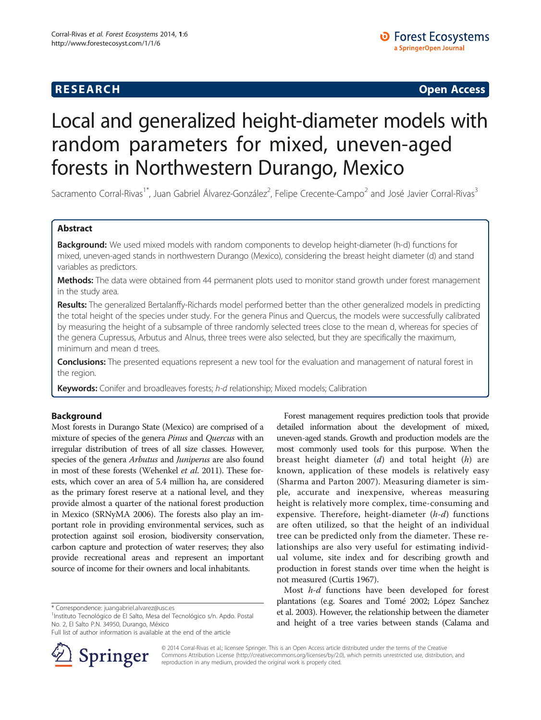# R E S EAR CH Open Access

# Local and generalized height-diameter models with random parameters for mixed, uneven-aged forests in Northwestern Durango, Mexico

Sacramento Corral-Rivas<sup>1\*</sup>, Juan Gabriel Álvarez-González<sup>2</sup>, Felipe Crecente-Campo<sup>2</sup> and José Javier Corral-Rivas<sup>3</sup>

# Abstract

Background: We used mixed models with random components to develop height-diameter (h-d) functions for mixed, uneven-aged stands in northwestern Durango (Mexico), considering the breast height diameter (d) and stand variables as predictors.

Methods: The data were obtained from 44 permanent plots used to monitor stand growth under forest management in the study area.

Results: The generalized Bertalanffy-Richards model performed better than the other generalized models in predicting the total height of the species under study. For the genera Pinus and Quercus, the models were successfully calibrated by measuring the height of a subsample of three randomly selected trees close to the mean d, whereas for species of the genera Cupressus, Arbutus and Alnus, three trees were also selected, but they are specifically the maximum, minimum and mean d trees.

Conclusions: The presented equations represent a new tool for the evaluation and management of natural forest in the region.

Keywords: Conifer and broadleaves forests; h-d relationship; Mixed models; Calibration

# Background

Most forests in Durango State (Mexico) are comprised of a mixture of species of the genera Pinus and Quercus with an irregular distribution of trees of all size classes. However, species of the genera Arbutus and Juniperus are also found in most of these forests (Wehenkel et al. [2011](#page-8-0)). These forests, which cover an area of 5.4 million ha, are considered as the primary forest reserve at a national level, and they provide almost a quarter of the national forest production in Mexico (SRNyMA [2006](#page-8-0)). The forests also play an important role in providing environmental services, such as protection against soil erosion, biodiversity conservation, carbon capture and protection of water reserves; they also provide recreational areas and represent an important source of income for their owners and local inhabitants.

1Instituto Tecnológico de El Salto, Mesa del Tecnológico s/n. Apdo. Postal No. 2, El Salto P.N. 34950, Durango, México

Full list of author information is available at the end of the article



Forest management requires prediction tools that provide detailed information about the development of mixed, uneven-aged stands. Growth and production models are the most commonly used tools for this purpose. When the breast height diameter  $(d)$  and total height  $(h)$  are known, application of these models is relatively easy (Sharma and Parton [2007](#page-7-0)). Measuring diameter is simple, accurate and inexpensive, whereas measuring height is relatively more complex, time-consuming and expensive. Therefore, height-diameter  $(h-d)$  functions are often utilized, so that the height of an individual tree can be predicted only from the diameter. These relationships are also very useful for estimating individual volume, site index and for describing growth and production in forest stands over time when the height is not measured (Curtis [1967\)](#page-7-0).

Most h-d functions have been developed for forest plantations (e.g. Soares and Tomé [2002;](#page-7-0) López Sanchez et al. [2003](#page-7-0)). However, the relationship between the diameter and height of a tree varies between stands (Calama and

© 2014 Corral-Rivas et al.; licensee Springer. This is an Open Access article distributed under the terms of the Creative Commons Attribution License (<http://creativecommons.org/licenses/by/2.0>), which permits unrestricted use, distribution, and reproduction in any medium, provided the original work is properly cited.

<sup>\*</sup> Correspondence: [juangabriel.alvarez@usc.es](mailto:juangabriel.alvarez@usc.es) <sup>1</sup>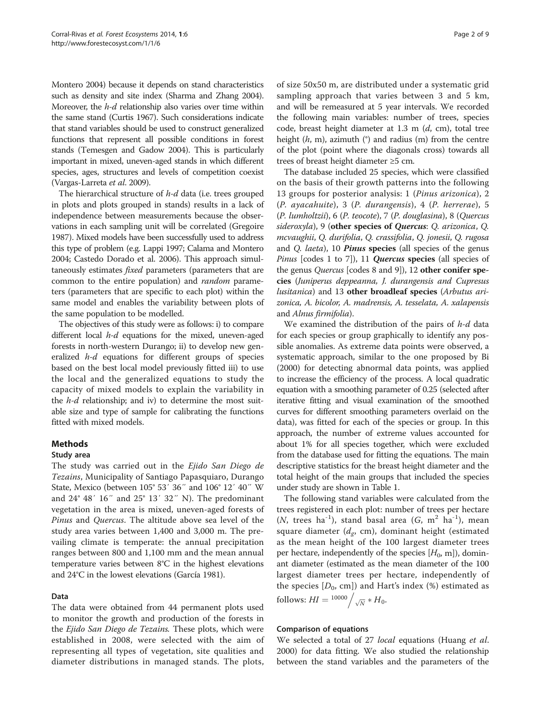Montero [2004](#page-7-0)) because it depends on stand characteristics such as density and site index (Sharma and Zhang [2004](#page-7-0)). Moreover, the h-d relationship also varies over time within the same stand (Curtis [1967](#page-7-0)). Such considerations indicate that stand variables should be used to construct generalized functions that represent all possible conditions in forest stands (Temesgen and Gadow [2004](#page-8-0)). This is particularly important in mixed, uneven-aged stands in which different species, ages, structures and levels of competition coexist (Vargas-Larreta et al. [2009\)](#page-8-0).

The hierarchical structure of h-d data (i.e. trees grouped in plots and plots grouped in stands) results in a lack of independence between measurements because the observations in each sampling unit will be correlated (Gregoire [1987\)](#page-7-0). Mixed models have been successfully used to address this type of problem (e.g. Lappi [1997](#page-7-0); Calama and Montero [2004;](#page-7-0) Castedo Dorado et al. [2006](#page-7-0)). This approach simultaneously estimates fixed parameters (parameters that are common to the entire population) and *random* parameters (parameters that are specific to each plot) within the same model and enables the variability between plots of the same population to be modelled.

The objectives of this study were as follows: i) to compare different local *h-d* equations for the mixed, uneven-aged forests in north-western Durango; ii) to develop new generalized h-d equations for different groups of species based on the best local model previously fitted iii) to use the local and the generalized equations to study the capacity of mixed models to explain the variability in the  $h$ -d relationship; and iv) to determine the most suitable size and type of sample for calibrating the functions fitted with mixed models.

# Methods

#### Study area

The study was carried out in the Ejido San Diego de Tezains, Municipality of Santiago Papasquiaro, Durango State, Mexico (between 105° 53′ 36″ and 106° 12′ 40″ W and 24° 48′ 16″ and 25° 13′ 32″ N). The predominant vegetation in the area is mixed, uneven-aged forests of Pinus and Quercus. The altitude above sea level of the study area varies between 1,400 and 3,000 m. The prevailing climate is temperate: the annual precipitation ranges between 800 and 1,100 mm and the mean annual temperature varies between 8°C in the highest elevations and 24°C in the lowest elevations (García [1981\)](#page-7-0).

# Data

The data were obtained from 44 permanent plots used to monitor the growth and production of the forests in the Ejido San Diego de Tezains. These plots, which were established in 2008, were selected with the aim of representing all types of vegetation, site qualities and diameter distributions in managed stands. The plots,

of size 50x50 m, are distributed under a systematic grid sampling approach that varies between 3 and 5 km, and will be remeasured at 5 year intervals. We recorded the following main variables: number of trees, species code, breast height diameter at  $1.3$  m  $(d, cm)$ , total tree height  $(h, m)$ , azimuth  $(°)$  and radius  $(m)$  from the centre of the plot (point where the diagonals cross) towards all trees of breast height diameter ≥5 cm.

The database included 25 species, which were classified on the basis of their growth patterns into the following 13 groups for posterior analysis: 1 (Pinus arizonica), 2 (P. ayacahuite), 3 (P. durangensis), 4 (P. herrerae), 5 (P. lumholtzii), 6 (P. teocote), 7 (P. douglasina), 8 (Quercus sideroxyla), 9 (other species of Quercus: Q. arizonica, Q. mcvaughii, Q. durifolia, Q. crassifolia, Q. jonesii, Q. rugosa and Q. *laeta*), 10 *Pinus* species (all species of the genus Pinus [codes 1 to 7]), 11 Quercus species (all species of the genus *Quercus* [codes 8 and 9]), 12 other conifer species (Juniperus deppeanna, J. durangensis and Cupresus lusitanica) and 13 other broadleaf species (Arbutus arizonica, A. bicolor, A. madrensis, A. tesselata, A. xalapensis and Alnus firmifolia).

We examined the distribution of the pairs of  $h$ - $d$  data for each species or group graphically to identify any possible anomalies. As extreme data points were observed, a systematic approach, similar to the one proposed by Bi ([2000\)](#page-7-0) for detecting abnormal data points, was applied to increase the efficiency of the process. A local quadratic equation with a smoothing parameter of 0.25 (selected after iterative fitting and visual examination of the smoothed curves for different smoothing parameters overlaid on the data), was fitted for each of the species or group. In this approach, the number of extreme values accounted for about 1% for all species together, which were excluded from the database used for fitting the equations. The main descriptive statistics for the breast height diameter and the total height of the main groups that included the species under study are shown in Table [1](#page-2-0).

The following stand variables were calculated from the trees registered in each plot: number of trees per hectare  $(N,$  trees ha<sup>-1</sup>), stand basal area  $(G, m^2 h a^{-1})$ , mean square diameter  $(d_e, cm)$ , dominant height (estimated as the mean height of the 100 largest diameter trees per hectare, independently of the species  $[H_0, m]$ , dominant diameter (estimated as the mean diameter of the 100 largest diameter trees per hectare, independently of the species  $[D_0, \text{cm}]$ ) and Hart's index (%) estimated as follows:  $HI = \frac{10000}{\sqrt{N}} * H_0.$ 

# Comparison of equations

We selected a total of 27 *local* equations (Huang *et al.* [2000](#page-7-0)) for data fitting. We also studied the relationship between the stand variables and the parameters of the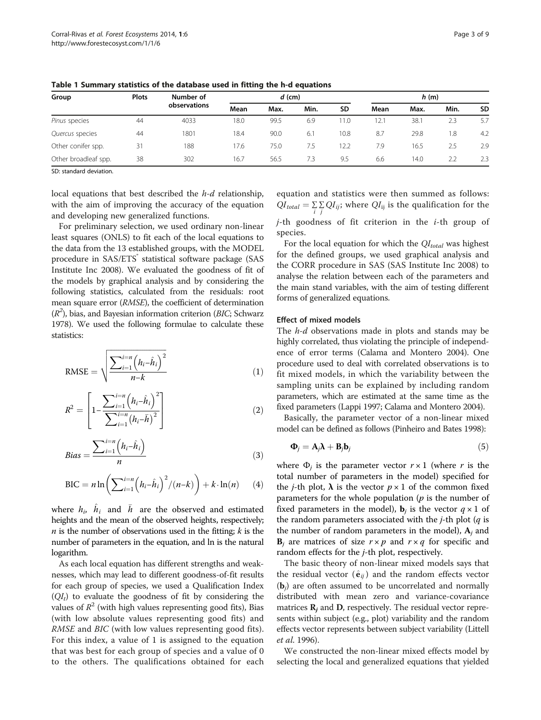| Group                | <b>Plots</b> | Number of<br>observations |      | $d$ (cm) |      | h(m)      |      |      |      |           |
|----------------------|--------------|---------------------------|------|----------|------|-----------|------|------|------|-----------|
|                      |              |                           | Mean | Max.     | Min. | <b>SD</b> | Mean | Max. | Min. | <b>SD</b> |
| Pinus species        | 44           | 4033                      | 18.0 | 99.5     | 6.9  | 1.0       | 12.1 | 38.1 | 2.3  | 5.7       |
| Quercus species      | 44           | 1801                      | 18.4 | 90.0     | 6.1  | 10.8      | 8.7  | 29.8 | 1.8  | 4.2       |
| Other conifer spp.   | 31           | 188                       | 17.6 | 75.0     | 7.5  | 12.2      | 7.9  | 16.5 | 2.5  | 2.9       |
| Other broadleaf spp. | 38           | 302                       | 16.7 | 56.5     | 7.3  | 9.5       | 6.6  | 14.0 | 2.2  | 2.3       |

<span id="page-2-0"></span>Table 1 Summary statistics of the database used in fitting the h-d equations

SD: standard deviation.

local equations that best described the h-d relationship, with the aim of improving the accuracy of the equation and developing new generalized functions.

For preliminary selection, we used ordinary non-linear least squares (ONLS) to fit each of the local equations to the data from the 13 established groups, with the MODEL procedure in SAS/ETS<sup>®</sup> statistical software package (SAS Institute Inc [2008\)](#page-7-0). We evaluated the goodness of fit of the models by graphical analysis and by considering the following statistics, calculated from the residuals: root mean square error (RMSE), the coefficient of determination  $(R<sup>2</sup>)$ , bias, and Bayesian information criterion (BIC; Schwarz [1978\)](#page-7-0). We used the following formulae to calculate these statistics:

$$
RMSE = \sqrt{\frac{\sum_{i=1}^{i=n} (h_i - \hat{h}_i)^2}{n-k}}
$$
(1)

$$
R^{2} = \left[1 - \frac{\sum_{i=1}^{i=n} (h_{i} - \hat{h}_{i})^{2}}{\sum_{i=1}^{i=n} (h_{i} - \bar{h})^{2}}\right]
$$
(2)

$$
Bias = \frac{\sum_{i=1}^{i=n} (h_i - \hat{h}_i)}{n}
$$
 (3)

$$
\text{BIC} = n \ln \left( \sum_{i=1}^{i=n} \left( h_i - \hat{h}_i \right)^2 / (n - k) \right) + k \cdot \ln(n) \tag{4}
$$

where  $h_i$ ,  $\hat{h}_i$  and  $\bar{h}$  are the observed and estimated heights and the mean of the observed heights, respectively; *n* is the number of observations used in the fitting;  $k$  is the number of parameters in the equation, and ln is the natural logarithm.

As each local equation has different strengths and weaknesses, which may lead to different goodness-of-fit results for each group of species, we used a Qualification Index  $(QI_t)$  to evaluate the goodness of fit by considering the values of  $R^2$  (with high values representing good fits), Bias (with low absolute values representing good fits) and RMSE and BIC (with low values representing good fits). For this index, a value of 1 is assigned to the equation that was best for each group of species and a value of 0 to the others. The qualifications obtained for each equation and statistics were then summed as follows:  $QI_{total} = \sum_{i} \sum_{j} QI_{ij}$ ; where  $QI_{ij}$  is the qualification for the

 $j$ -th goodness of fit criterion in the  $i$ -th group of species.

For the local equation for which the  $QI_{total}$  was highest for the defined groups, we used graphical analysis and the CORR procedure in SAS (SAS Institute Inc [2008\)](#page-7-0) to analyse the relation between each of the parameters and the main stand variables, with the aim of testing different forms of generalized equations.

#### Effect of mixed models

The  $h$ -d observations made in plots and stands may be highly correlated, thus violating the principle of independence of error terms (Calama and Montero [2004](#page-7-0)). One procedure used to deal with correlated observations is to fit mixed models, in which the variability between the sampling units can be explained by including random parameters, which are estimated at the same time as the fixed parameters (Lappi [1997](#page-7-0); Calama and Montero [2004\)](#page-7-0).

Basically, the parameter vector of a non-linear mixed model can be defined as follows (Pinheiro and Bates [1998](#page-7-0)):

$$
\mathbf{\Phi}_j = \mathbf{A}_j \mathbf{\lambda} + \mathbf{B}_j \mathbf{b}_j \tag{5}
$$

where  $\Phi_i$  is the parameter vector  $r \times 1$  (where r is the total number of parameters in the model) specified for the *j*-th plot,  $\lambda$  is the vector  $p \times 1$  of the common fixed parameters for the whole population  $(p)$  is the number of fixed parameters in the model),  $\mathbf{b}_j$  is the vector  $q \times 1$  of the random parameters associated with the  $j$ -th plot ( $q$  is the number of random parameters in the model),  $A_j$  and  $\mathbf{B}_i$  are matrices of size  $r \times p$  and  $r \times q$  for specific and random effects for the j-th plot, respectively.

The basic theory of non-linear mixed models says that the residual vector  $(\hat{\mathbf{e}}_{ij})$  and the random effects vector  $(b_i)$  are often assumed to be uncorrelated and normally distributed with mean zero and variance-covariance matrices  $\mathbf{R}_j$  and  $\mathbf{D}$ , respectively. The residual vector represents within subject (e.g., plot) variability and the random effects vector represents between subject variability (Littell et al. [1996](#page-7-0)).

We constructed the non-linear mixed effects model by selecting the local and generalized equations that yielded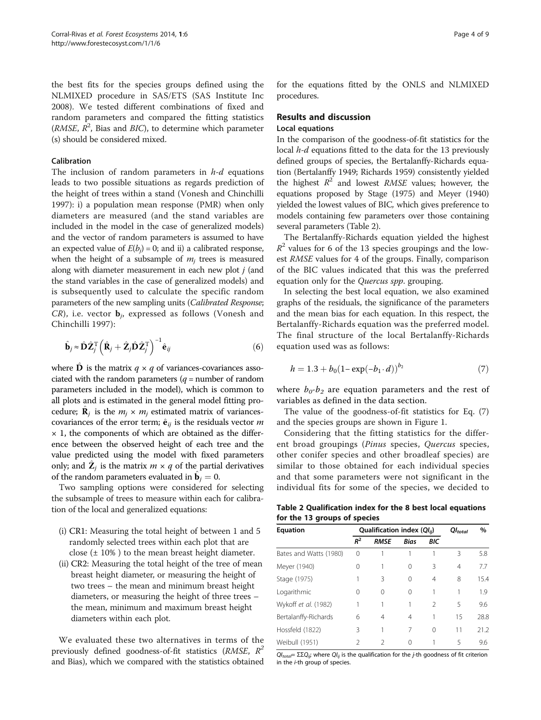<span id="page-3-0"></span>the best fits for the species groups defined using the NLMIXED procedure in SAS/ETS (SAS Institute Inc [2008](#page-7-0)). We tested different combinations of fixed and random parameters and compared the fitting statistics (RMSE,  $R^2$ , Bias and BIC), to determine which parameter (s) should be considered mixed.

#### Calibration

The inclusion of random parameters in  $h-d$  equations leads to two possible situations as regards prediction of the height of trees within a stand (Vonesh and Chinchilli [1997](#page-8-0)): i) a population mean response (PMR) when only diameters are measured (and the stand variables are included in the model in the case of generalized models) and the vector of random parameters is assumed to have an expected value of  $E(b_j) = 0$ ; and ii) a calibrated response, when the height of a subsample of  $m_i$  trees is measured along with diameter measurement in each new plot  $j$  (and the stand variables in the case of generalized models) and is subsequently used to calculate the specific random parameters of the new sampling units (Calibrated Response;  $CR$ ), i.e. vector  $\mathbf{b}_i$ , expressed as follows (Vonesh and Chinchilli [1997](#page-8-0)):

$$
\hat{\mathbf{b}}_j \approx \hat{\mathbf{D}} \hat{\mathbf{Z}}_j^{\mathrm{T}} \left( \hat{\mathbf{R}}_j + \hat{\mathbf{Z}}_j \hat{\mathbf{D}} \hat{\mathbf{Z}}_j^{\mathrm{T}} \right)^{-1} \hat{\mathbf{e}}_{ij}
$$
(6)

where  $\hat{\mathbf{D}}$  is the matrix  $q \times q$  of variances-covariances associated with the random parameters  $(q =$  number of random parameters included in the model), which is common to all plots and is estimated in the general model fitting procedure;  $\mathbf{R}_i$  is the  $m_i \times m_j$  estimated matrix of variancescovariances of the error term;  $\hat{\mathbf{e}}_{ij}$  is the residuals vector m  $\times$  1, the components of which are obtained as the difference between the observed height of each tree and the value predicted using the model with fixed parameters only; and  $\hat{\mathbf{Z}}_i$  is the matrix  $m \times q$  of the partial derivatives of the random parameters evaluated in  $\mathbf{b}_i = 0$ .

Two sampling options were considered for selecting the subsample of trees to measure within each for calibration of the local and generalized equations:

- (i) CR1: Measuring the total height of between 1 and 5 randomly selected trees within each plot that are close  $(\pm 10\%)$  to the mean breast height diameter.
- (ii) CR2: Measuring the total height of the tree of mean breast height diameter, or measuring the height of two trees – the mean and minimum breast height diameters, or measuring the height of three trees – the mean, minimum and maximum breast height diameters within each plot.

We evaluated these two alternatives in terms of the previously defined goodness-of-fit statistics ( $RMSE$ ,  $R^2$ and Bias), which we compared with the statistics obtained for the equations fitted by the ONLS and NLMIXED procedures.

# Results and discussion

### Local equations

In the comparison of the goodness-of-fit statistics for the local *h-d* equations fitted to the data for the 13 previously defined groups of species, the Bertalanffy-Richards equation (Bertalanffy [1949](#page-7-0); Richards [1959](#page-7-0)) consistently yielded the highest  $R^2$  and lowest RMSE values; however, the equations proposed by Stage ([1975](#page-8-0)) and Meyer [\(1940](#page-7-0)) yielded the lowest values of BIC, which gives preference to models containing few parameters over those containing several parameters (Table 2).

The Bertalanffy-Richards equation yielded the highest  $R^2$  values for 6 of the 13 species groupings and the lowest RMSE values for 4 of the groups. Finally, comparison of the BIC values indicated that this was the preferred equation only for the Quercus spp. grouping.

In selecting the best local equation, we also examined graphs of the residuals, the significance of the parameters and the mean bias for each equation. In this respect, the Bertalanffy-Richards equation was the preferred model. The final structure of the local Bertalanffy-Richards equation used was as follows:

$$
h = 1.3 + b_0 (1 - \exp(-b_1 \cdot d))^{b_2} \tag{7}
$$

where  $b_0-b_2$  are equation parameters and the rest of variables as defined in the data section.

The value of the goodness-of-fit statistics for Eq. (7) and the species groups are shown in Figure [1](#page-4-0).

Considering that the fitting statistics for the different broad groupings (Pinus species, Quercus species, other conifer species and other broadleaf species) are similar to those obtained for each individual species and that some parameters were not significant in the individual fits for some of the species, we decided to

Table 2 Qualification index for the 8 best local equations for the 13 groups of species

| <b>Equation</b>        |          | Qualification index $(QI_{ii})$ | $QI_{total}$ | %              |    |      |
|------------------------|----------|---------------------------------|--------------|----------------|----|------|
|                        | $R^2$    | <b>RMSE</b>                     | <b>Bias</b>  | BIC            |    |      |
| Bates and Watts (1980) | $\Omega$ |                                 |              |                | 3  | 5.8  |
| Meyer (1940)           | 0        |                                 | 0            | 3              | 4  | 7.7  |
| Stage (1975)           |          | ζ                               | $\Omega$     | 4              | 8  | 15.4 |
| Logarithmic            | 0        | ∩                               | $\Omega$     |                | 1  | 1.9  |
| Wykoff et al. (1982)   | 1        |                                 |              | $\mathfrak{D}$ | 5  | 9.6  |
| Bertalanffy-Richards   | 6        | 4                               | 4            | 1              | 15 | 28.8 |
| Hossfeld (1822)        | 3        |                                 | 7            | $\Omega$       | 11 | 21.2 |
| Weibull (1951)         | 2        | $\mathcal{P}$                   | ∩            |                | 5  | 9.6  |

 $QI_{total} = \Sigma \Sigma Q_{ij}$ ; where  $QI_{ij}$  is the qualification for the *j*-th goodness of fit criterion in the i-th group of species.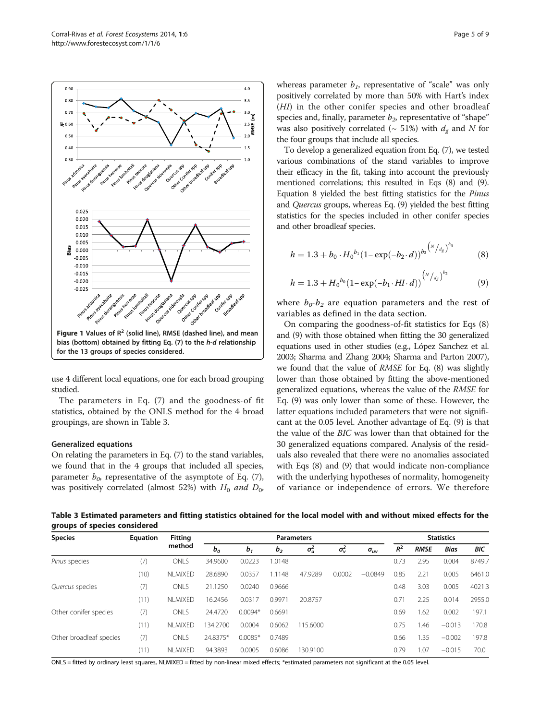<span id="page-4-0"></span>

use 4 different local equations, one for each broad grouping studied.

The parameters in Eq. [\(7](#page-3-0)) and the goodness-of fit statistics, obtained by the ONLS method for the 4 broad groupings, are shown in Table 3.

#### Generalized equations

On relating the parameters in Eq. [\(7](#page-3-0)) to the stand variables, we found that in the 4 groups that included all species, parameter  $b_{0}$ , representative of the asymptote of Eq. ([7](#page-3-0)), was positively correlated (almost 52%) with  $H_0$  and  $D_0$ , whereas parameter  $b<sub>1</sub>$ , representative of "scale" was only positively correlated by more than 50% with Hart's index (HI) in the other conifer species and other broadleaf species and, finally, parameter  $b_2$ , representative of "shape" was also positively correlated ( $\sim$  51%) with  $d_{\sigma}$  and N for the four groups that include all species.

To develop a generalized equation from Eq. [\(7](#page-3-0)), we tested various combinations of the stand variables to improve their efficacy in the fit, taking into account the previously mentioned correlations; this resulted in Eqs (8) and (9). Equation 8 yielded the best fitting statistics for the Pinus and Quercus groups, whereas Eq. (9) yielded the best fitting statistics for the species included in other conifer species and other broadleaf species.

$$
h = 1.3 + b_0 \cdot H_0^{b_1} (1 - \exp(-b_2 \cdot d))^{b_3^{(N/4g)^{b_4}}}
$$
 (8)

$$
h = 1.3 + H_0^{b_0} (1 - \exp(-b_1 \cdot H\mathbf{I} \cdot d))^{(\frac{N}{d_g})^{b_2}}
$$
(9)

where  $b_0-b_2$  are equation parameters and the rest of variables as defined in the data section.

On comparing the goodness-of-fit statistics for Eqs (8) and (9) with those obtained when fitting the 30 generalized equations used in other studies (e.g., López Sanchez et al. [2003;](#page-7-0) Sharma and Zhang [2004](#page-7-0); Sharma and Parton [2007](#page-7-0)), we found that the value of RMSE for Eq. (8) was slightly lower than those obtained by fitting the above-mentioned generalized equations, whereas the value of the RMSE for Eq. (9) was only lower than some of these. However, the latter equations included parameters that were not significant at the 0.05 level. Another advantage of Eq. (9) is that the value of the BIC was lower than that obtained for the 30 generalized equations compared. Analysis of the residuals also revealed that there were no anomalies associated with Eqs (8) and (9) that would indicate non-compliance with the underlying hypotheses of normality, homogeneity of variance or independence of errors. We therefore

Table 3 Estimated parameters and fitting statistics obtained for the local model with and without mixed effects for the groups of species considered

| <b>Species</b>          | Equation | Fittina<br>method | <b>Parameters</b> |                |                |            |              |               |       | <b>Statistics</b> |          |        |  |
|-------------------------|----------|-------------------|-------------------|----------------|----------------|------------|--------------|---------------|-------|-------------------|----------|--------|--|
|                         |          |                   | $b_o$             | b <sub>1</sub> | b <sub>2</sub> | $\sigma_u$ | $\sigma_v^2$ | $\sigma_{uv}$ | $R^2$ | <b>RMSE</b>       | Bias     | BIC    |  |
| Pinus species           | (7)      | <b>ONLS</b>       | 34,9600           | 0.0223         | 1.0148         |            |              |               | 0.73  | 2.95              | 0.004    | 8749.7 |  |
|                         | (10)     | <b>NLMIXED</b>    | 28,6890           | 0.0357         | 1.1148         | 47.9289    | 0.0002       | $-0.0849$     | 0.85  | 2.21              | 0.005    | 6461.0 |  |
| Quercus species         | (7)      | ONLS              | 21.1250           | 0.0240         | 0.9666         |            |              |               | 0.48  | 3.03              | 0.005    | 4021.3 |  |
|                         | (11)     | <b>NLMIXED</b>    | 16.2456           | 0.0317         | 0.9971         | 20.8757    |              |               | 0.71  | 2.25              | 0.014    | 2955.0 |  |
| Other conifer species   | (7)      | ONLS              | 24.4720           | $0.0094*$      | 0.6691         |            |              |               | 0.69  | .62               | 0.002    | 197.1  |  |
|                         | (11)     | NI MIXED          | 134.2700          | 0.0004         | 0.6062         | 15.6000    |              |               | 0.75  | .46               | $-0.013$ | 170.8  |  |
| Other broadleaf species | (7)      | ONLS              | 24.8375*          | $0.0085*$      | 0.7489         |            |              |               | 0.66  | 1.35              | $-0.002$ | 197.8  |  |
|                         | (11)     | <b>NLMIXED</b>    | 94.3893           | 0.0005         | 0.6086         | 130.9100   |              |               | 0.79  | .07               | $-0.015$ | 70.0   |  |

ONLS = fitted by ordinary least squares, NLMIXED = fitted by non-linear mixed effects; \*estimated parameters not significant at the 0.05 level.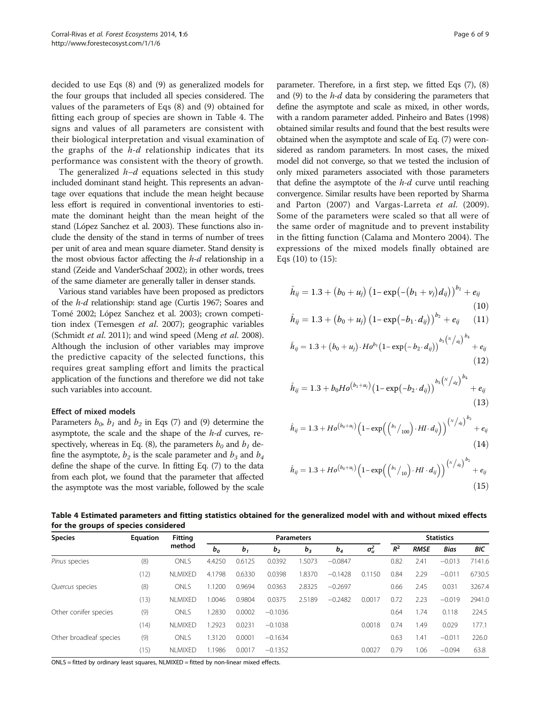<span id="page-5-0"></span>decided to use Eqs [\(8](#page-4-0)) and [\(9](#page-4-0)) as generalized models for the four groups that included all species considered. The values of the parameters of Eqs ([8\)](#page-4-0) and ([9](#page-4-0)) obtained for fitting each group of species are shown in Table 4. The signs and values of all parameters are consistent with their biological interpretation and visual examination of the graphs of the  $h-d$  relationship indicates that its performance was consistent with the theory of growth.

The generalized  $h-d$  equations selected in this study included dominant stand height. This represents an advantage over equations that include the mean height because less effort is required in conventional inventories to estimate the dominant height than the mean height of the stand (López Sanchez et al. [2003\)](#page-7-0). These functions also include the density of the stand in terms of number of trees per unit of area and mean square diameter. Stand density is the most obvious factor affecting the h-d relationship in a stand (Zeide and VanderSchaaf [2002](#page-8-0)); in other words, trees of the same diameter are generally taller in denser stands.

Various stand variables have been proposed as predictors of the h-d relationship: stand age (Curtis [1967;](#page-7-0) Soares and Tomé [2002;](#page-7-0) López Sanchez et al. [2003\)](#page-7-0); crown competition index (Temesgen et al. [2007\)](#page-8-0); geographic variables (Schmidt et al. [2011\)](#page-7-0); and wind speed (Meng et al. [2008](#page-7-0)). Although the inclusion of other variables may improve the predictive capacity of the selected functions, this requires great sampling effort and limits the practical application of the functions and therefore we did not take such variables into account.

#### Effect of mixed models

Parameters  $b_0$ ,  $b_1$  and  $b_2$  in Eqs [\(7\)](#page-3-0) and [\(9](#page-4-0)) determine the asymptote, the scale and the shape of the  $h$ - $d$  curves, re-spectively, whereas in Eq. [\(8\)](#page-4-0), the parameters  $b_0$  and  $b_1$  define the asymptote,  $b_2$  is the scale parameter and  $b_3$  and  $b_4$ define the shape of the curve. In fitting Eq. ([7\)](#page-3-0) to the data from each plot, we found that the parameter that affected the asymptote was the most variable, followed by the scale

parameter. Therefore, in a first step, we fitted Eqs [\(7\)](#page-3-0), ([8](#page-4-0)) and [\(9](#page-4-0)) to the  $h-d$  data by considering the parameters that define the asymptote and scale as mixed, in other words, with a random parameter added. Pinheiro and Bates ([1998](#page-7-0)) obtained similar results and found that the best results were obtained when the asymptote and scale of Eq. [\(7\)](#page-3-0) were considered as random parameters. In most cases, the mixed model did not converge, so that we tested the inclusion of only mixed parameters associated with those parameters that define the asymptote of the  $h$ - $d$  curve until reaching convergence. Similar results have been reported by Sharma and Parton ([2007\)](#page-7-0) and Vargas-Larreta et al. [\(2009](#page-8-0)). Some of the parameters were scaled so that all were of the same order of magnitude and to prevent instability in the fitting function (Calama and Montero [2004\)](#page-7-0). The expressions of the mixed models finally obtained are Eqs (10) to (15):

$$
\hat{h}_{ij} = 1.3 + (b_0 + u_j) (1 - \exp(-(b_1 + v_j)d_{ij}))^{b_2} + e_{ij}
$$
\n(10)

$$
\hat{h}_{ij} = 1.3 + (b_0 + u_j) (1 - \exp(-b_1 \cdot d_{ij}))^{b_2} + e_{ij} \qquad (11)
$$

$$
\hat{h}_{ij} = 1.3 + (b_0 + u_j) \cdot Ho^{b_1} (1 - \exp(-b_2 \cdot d_{ij}))^{b_3(\frac{N}{d_g})^{b_4}} + e_{ij}
$$
\n(12)

$$
\hat{h}_{ij} = 1.3 + b_0 H o^{(b_1 + u_j)} (1 - \exp(-b_2 \cdot d_{ij}))^{b_3(\sqrt{a_g})^{b_4}} + e_{ij}
$$
\n(13)

$$
\hat{h}_{ij} = 1.3 + Ho^{(b_0 + u_j)} \Big( 1 - \exp \Big( \Big( \frac{b_1}{100} \Big) \cdot HI \cdot d_{ij} \Big) \Big)^{\binom{N}{d_g} b_2} + e_{ij}
$$
\n(14)

$$
\hat{h}_{ij} = 1.3 + Ho^{(b_0+u_j)}(1 - \exp((b_1/_{10}) \cdot HI \cdot d_{ij}))^{(\frac{N}{d_g})^{b_2}} + e_{ij}
$$
\n(15)

Table 4 Estimated parameters and fitting statistics obtained for the generalized model with and without mixed effects for the groups of species considered

| <b>Species</b>          | Equation | <b>Fitting</b><br>method | <b>Parameters</b> |                |                |        |           |              |       | <b>Statistics</b> |             |        |  |
|-------------------------|----------|--------------------------|-------------------|----------------|----------------|--------|-----------|--------------|-------|-------------------|-------------|--------|--|
|                         |          |                          | b <sub>o</sub>    | b <sub>1</sub> | b <sub>2</sub> | $b_3$  | $b_4$     | $\sigma_u^2$ | $R^2$ | <b>RMSE</b>       | <b>Bias</b> | BIC    |  |
| Pinus species           | (8)      | <b>ONLS</b>              | 4.4250            | 0.6125         | 0.0392         | .5073  | $-0.0847$ |              | 0.82  | 2.41              | $-0.013$    | 7141.6 |  |
|                         | (12)     | <b>NLMIXED</b>           | 4.1798            | 0.6330         | 0.0398         | 1.8370 | $-0.1428$ | 150<br>0.1   | 0.84  | 2.29              | $-0.011$    | 6730.5 |  |
| Quercus species         | (8)      | <b>ONLS</b>              | 1.1200            | 0.9694         | 0.0363         | 2.8325 | $-0.2697$ |              | 0.66  | 2.45              | 0.031       | 3267.4 |  |
|                         | (13)     | NI MIXFD                 | 1.0046            | 0.9804         | 0.0375         | 2.5189 | $-0.2482$ | 0.0017       | 0.72  | 2.23              | $-0.019$    | 2941.0 |  |
| Other conifer species   | (9)      | <b>ONLS</b>              | 1.2830            | 0.0002         | $-0.1036$      |        |           |              | 0.64  | 1.74              | 0.118       | 224.5  |  |
|                         | (14)     | <b>NLMIXED</b>           | 1.2923            | 0.0231         | $-0.1038$      |        |           | 0.0018       | 0.74  | 1.49              | 0.029       | 177.1  |  |
| Other broadleaf species | (9)      | <b>ONLS</b>              | 1.3120            | 0.0001         | $-0.1634$      |        |           |              | 0.63  | 1.41              | $-0.011$    | 226.0  |  |
|                         | (15)     | <b>NLMIXED</b>           | 1.1986            | 0.0017         | $-0.1352$      |        |           | 0.0027       | 0.79  | 1.06              | $-0.094$    | 63.8   |  |

ONLS = fitted by ordinary least squares, NLMIXED = fitted by non-linear mixed effects.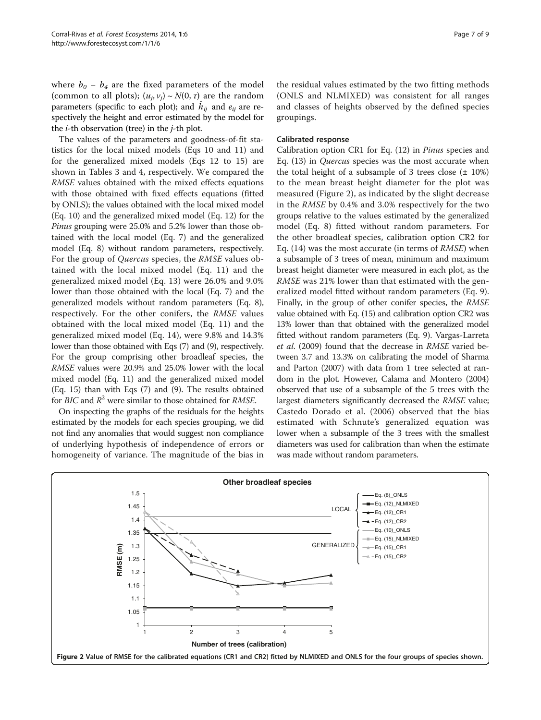<span id="page-6-0"></span>where  $b_0 - b_4$  are the fixed parameters of the model (common to all plots);  $(u_j, v_j) \sim N(0, \tau)$  are the random parameters (specific to each plot); and  $\hat{h}_{ij}$  and  $e_{ij}$  are respectively the height and error estimated by the model for the  $i$ -th observation (tree) in the  $j$ -th plot.

The values of the parameters and goodness-of-fit statistics for the local mixed models (Eqs [10](#page-5-0) and [11](#page-5-0)) and for the generalized mixed models (Eqs [12](#page-5-0) to [15\)](#page-5-0) are shown in Tables [3](#page-4-0) and [4,](#page-5-0) respectively. We compared the RMSE values obtained with the mixed effects equations with those obtained with fixed effects equations (fitted by ONLS); the values obtained with the local mixed model (Eq. [10](#page-5-0)) and the generalized mixed model (Eq. [12](#page-5-0)) for the Pinus grouping were 25.0% and 5.2% lower than those obtained with the local model (Eq. [7\)](#page-3-0) and the generalized model (Eq. [8](#page-4-0)) without random parameters, respectively. For the group of Quercus species, the RMSE values obtained with the local mixed model (Eq. [11\)](#page-5-0) and the generalized mixed model (Eq. [13\)](#page-5-0) were 26.0% and 9.0% lower than those obtained with the local (Eq. [7](#page-3-0)) and the generalized models without random parameters (Eq. [8](#page-4-0)), respectively. For the other conifers, the RMSE values obtained with the local mixed model (Eq. [11\)](#page-5-0) and the generalized mixed model (Eq. [14](#page-5-0)), were 9.8% and 14.3% lower than those obtained with Eqs [\(7](#page-3-0)) and [\(9\)](#page-4-0), respectively. For the group comprising other broadleaf species, the RMSE values were 20.9% and 25.0% lower with the local mixed model (Eq. [11](#page-5-0)) and the generalized mixed model (Eq. [15](#page-5-0)) than with Eqs [\(7\)](#page-3-0) and ([9\)](#page-4-0). The results obtained for BIC and  $R^2$  were similar to those obtained for RMSE.

On inspecting the graphs of the residuals for the heights estimated by the models for each species grouping, we did not find any anomalies that would suggest non compliance of underlying hypothesis of independence of errors or homogeneity of variance. The magnitude of the bias in the residual values estimated by the two fitting methods (ONLS and NLMIXED) was consistent for all ranges and classes of heights observed by the defined species groupings.

#### Calibrated response

Calibration option CR1 for Eq. [\(12](#page-5-0)) in Pinus species and Eq. [\(13\)](#page-5-0) in Quercus species was the most accurate when the total height of a subsample of 3 trees close  $(\pm 10\%)$ to the mean breast height diameter for the plot was measured (Figure 2), as indicated by the slight decrease in the RMSE by 0.4% and 3.0% respectively for the two groups relative to the values estimated by the generalized model (Eq. [8\)](#page-4-0) fitted without random parameters. For the other broadleaf species, calibration option CR2 for Eq. ([14\)](#page-5-0) was the most accurate (in terms of RMSE) when a subsample of 3 trees of mean, minimum and maximum breast height diameter were measured in each plot, as the RMSE was 21% lower than that estimated with the generalized model fitted without random parameters (Eq. [9](#page-4-0)). Finally, in the group of other conifer species, the RMSE value obtained with Eq. [\(15](#page-5-0)) and calibration option CR2 was 13% lower than that obtained with the generalized model fitted without random parameters (Eq. [9\)](#page-4-0). Vargas-Larreta et al. [\(2009](#page-8-0)) found that the decrease in RMSE varied between 3.7 and 13.3% on calibrating the model of Sharma and Parton ([2007](#page-7-0)) with data from 1 tree selected at random in the plot. However, Calama and Montero [\(2004](#page-7-0)) observed that use of a subsample of the 5 trees with the largest diameters significantly decreased the RMSE value; Castedo Dorado et al. ([2006](#page-7-0)) observed that the bias estimated with Schnute's generalized equation was lower when a subsample of the 3 trees with the smallest diameters was used for calibration than when the estimate was made without random parameters.

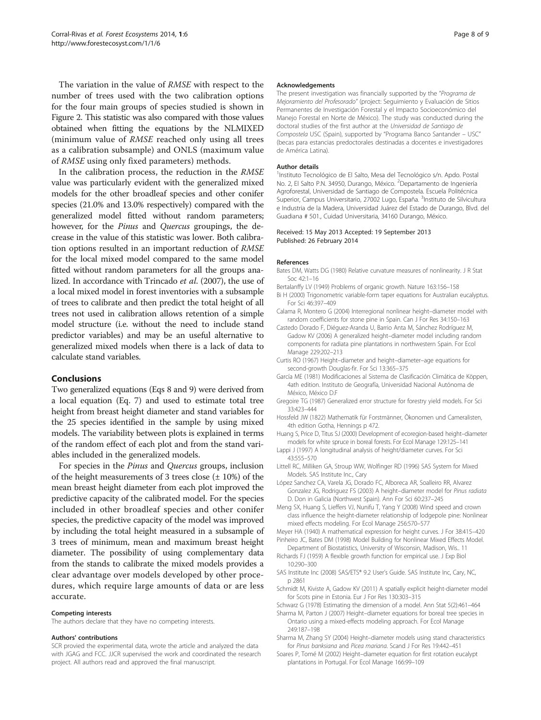<span id="page-7-0"></span>The variation in the value of RMSE with respect to the number of trees used with the two calibration options for the four main groups of species studied is shown in Figure [2.](#page-6-0) This statistic was also compared with those values obtained when fitting the equations by the NLMIXED (minimum value of RMSE reached only using all trees as a calibration subsample) and ONLS (maximum value of RMSE using only fixed parameters) methods.

In the calibration process, the reduction in the RMSE value was particularly evident with the generalized mixed models for the other broadleaf species and other conifer species (21.0% and 13.0% respectively) compared with the generalized model fitted without random parameters; however, for the Pinus and Quercus groupings, the decrease in the value of this statistic was lower. Both calibration options resulted in an important reduction of RMSE for the local mixed model compared to the same model fitted without random parameters for all the groups analized. In accordance with Trincado et al. [\(2007](#page-8-0)), the use of a local mixed model in forest inventories with a subsample of trees to calibrate and then predict the total height of all trees not used in calibration allows retention of a simple model structure (i.e. without the need to include stand predictor variables) and may be an useful alternative to generalized mixed models when there is a lack of data to calculate stand variables.

#### Conclusions

Two generalized equations (Eqs [8](#page-4-0) and [9](#page-4-0)) were derived from a local equation (Eq. [7\)](#page-3-0) and used to estimate total tree height from breast height diameter and stand variables for the 25 species identified in the sample by using mixed models. The variability between plots is explained in terms of the random effect of each plot and from the stand variables included in the generalized models.

For species in the Pinus and Quercus groups, inclusion of the height measurements of 3 trees close  $(\pm 10\%)$  of the mean breast height diameter from each plot improved the predictive capacity of the calibrated model. For the species included in other broadleaf species and other conifer species, the predictive capacity of the model was improved by including the total height measured in a subsample of 3 trees of minimum, mean and maximum breast height diameter. The possibility of using complementary data from the stands to calibrate the mixed models provides a clear advantage over models developed by other procedures, which require large amounts of data or are less accurate.

#### Competing interests

The authors declare that they have no competing interests.

#### Authors' contributions

SCR provied the experimental data, wrote the article and analyzed the data with JGAG and FCC. JJCR supervised the work and coordinated the research project. All authors read and approved the final manuscript.

#### Acknowledgements

The present investigation was financially supported by the "Programa de Mejoramiento del Profesorado" (project: Seguimiento y Evaluación de Sitios Permanentes de Investigación Forestal y el Impacto Socioeconómico del Manejo Forestal en Norte de México). The study was conducted during the doctoral studies of the first author at the Universidad de Santiago de Compostela USC (Spain), supported by "Programa Banco Santander – USC" (becas para estancias predoctorales destinadas a docentes e investigadores de América Latina).

#### Author details

1Instituto Tecnológico de El Salto, Mesa del Tecnológico s/n. Apdo. Postal No. 2, El Salto P.N. 34950, Durango, México. <sup>2</sup>Departamento de Ingeniería Agroforestal, Universidad de Santiago de Compostela. Escuela Politécnica Superior, Campus Universitario, 27002 Lugo, España. <sup>3</sup>Instituto de Silvicultura e Industria de la Madera, Universidad Juárez del Estado de Durango, Blvd. del Guadiana # 501., Cuidad Universitaria, 34160 Durango, México.

#### Received: 15 May 2013 Accepted: 19 September 2013 Published: 26 February 2014

#### References

- Bates DM, Watts DG (1980) Relative curvature measures of nonlinearity. J R Stat Soc 42:1–16
- Bertalanffy LV (1949) Problems of organic growth. Nature 163:156–158
- Bi H (2000) Trigonometric variable-form taper equations for Australian eucalyptus. For Sci 46:397–409
- Calama R, Montero G (2004) Interregional nonlinear height–diameter model with random coefficients for stone pine in Spain. Can J For Res 34:150–163
- Castedo Dorado F, Diéguez-Aranda U, Barrio Anta M, Sánchez Rodríguez M, Gadow KV (2006) A generalized height–diameter model including random components for radiata pine plantations in northwestern Spain. For Ecol Manage 229:202–213
- Curtis RO (1967) Height–diameter and height–diameter–age equations for second-growth Douglas-fir. For Sci 13:365–375
- García ME (1981) Modificaciones al Sistema de Clasificación Climática de Köppen, 4ath edition. Instituto de Geografía, Universidad Nacional Autónoma de México, México D.F
- Gregoire TG (1987) Generalized error structure for forestry yield models. For Sci 33:423–444
- Hossfeld JW (1822) Mathematik für Forstmänner, Ökonomen und Cameralisten, 4th edition Gotha, Hennings p 472.
- Huang S, Price D, Titus SJ (2000) Development of ecoregion-based height–diameter models for white spruce in boreal forests. For Ecol Manage 129:125–141
- Lappi J (1997) A longitudinal analysis of height/diameter curves. For Sci 43:555–570
- Littell RC, Milliken GA, Stroup WW, Wolfinger RD (1996) SAS System for Mixed Models. SAS Institute Inc., Cary
- López Sanchez CA, Varela JG, Dorado FC, Alboreca AR, Soalleiro RR, Alvarez Gonzalez JG, Rodriguez FS (2003) A height–diameter model for Pinus radiata D. Don in Galicia (Northwest Spain). Ann For Sci 60:237–245
- Meng SX, Huang S, Lieffers VJ, Nunifu T, Yang Y (2008) Wind speed and crown class influence the height-diameter relationship of lodgepole pine: Nonlinear mixed effects modeling. For Ecol Manage 256:570–577
- Meyer HA (1940) A mathematical expression for height curves. J For 38:415–420 Pinheiro JC, Bates DM (1998) Model Building for Nonlinear Mixed Effects Model.
- Department of Biostatistics, University of Wisconsin, Madison, Wis.. 11
- Richards FJ (1959) A flexible growth function for empirical use. J Exp Biol 10:290–300
- SAS Institute Inc (2008) SAS/ETS® 9.2 User's Guide. SAS Institute Inc, Cary, NC, p 2861
- Schmidt M, Kiviste A, Gadow KV (2011) A spatially explicit height-diameter model for Scots pine in Estonia. Eur J For Res 130:303–315
- Schwarz G (1978) Estimating the dimension of a model. Ann Stat 5(2):461–464
- Sharma M, Parton J (2007) Height–diameter equations for boreal tree species in Ontario using a mixed-effects modeling approach. For Ecol Manage 249:187–198
- Sharma M, Zhang SY (2004) Height–diameter models using stand characteristics for Pinus banksiana and Picea mariana. Scand J For Res 19:442–451
- Soares P, Tomé M (2002) Height–diameter equation for first rotation eucalypt plantations in Portugal. For Ecol Manage 166:99–109